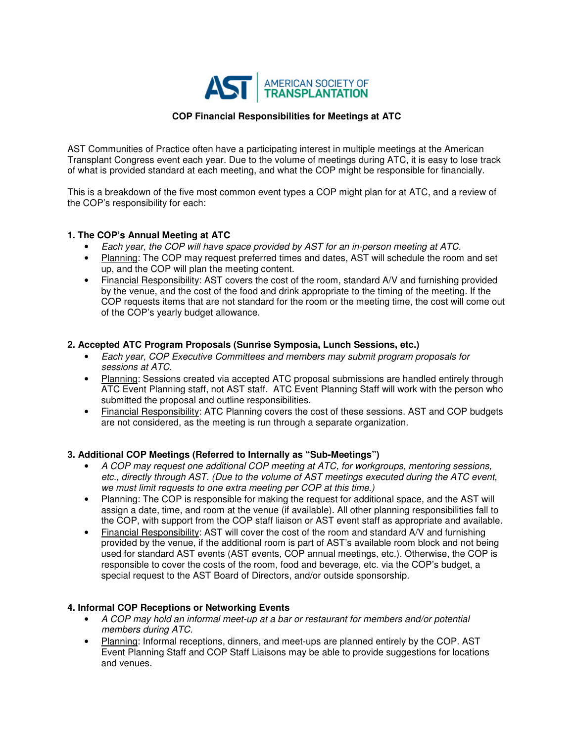

## **COP Financial Responsibilities for Meetings at ATC**

AST Communities of Practice often have a participating interest in multiple meetings at the American Transplant Congress event each year. Due to the volume of meetings during ATC, it is easy to lose track of what is provided standard at each meeting, and what the COP might be responsible for financially.

This is a breakdown of the five most common event types a COP might plan for at ATC, and a review of the COP's responsibility for each:

#### **1. The COP's Annual Meeting at ATC**

- Each year, the COP will have space provided by AST for an in-person meeting at ATC.
- Planning: The COP may request preferred times and dates, AST will schedule the room and set up, and the COP will plan the meeting content.
- Financial Responsibility: AST covers the cost of the room, standard A/V and furnishing provided by the venue, and the cost of the food and drink appropriate to the timing of the meeting. If the COP requests items that are not standard for the room or the meeting time, the cost will come out of the COP's yearly budget allowance.

### **2. Accepted ATC Program Proposals (Sunrise Symposia, Lunch Sessions, etc.)**

- Each year, COP Executive Committees and members may submit program proposals for sessions at ATC.
- Planning: Sessions created via accepted ATC proposal submissions are handled entirely through ATC Event Planning staff, not AST staff. ATC Event Planning Staff will work with the person who submitted the proposal and outline responsibilities.
- Financial Responsibility: ATC Planning covers the cost of these sessions. AST and COP budgets are not considered, as the meeting is run through a separate organization.

## **3. Additional COP Meetings (Referred to Internally as "Sub-Meetings")**

- A COP may request one additional COP meeting at ATC, for workgroups, mentoring sessions, etc., directly through AST. (Due to the volume of AST meetings executed during the ATC event, we must limit requests to one extra meeting per COP at this time.)
- Planning: The COP is responsible for making the request for additional space, and the AST will assign a date, time, and room at the venue (if available). All other planning responsibilities fall to the COP, with support from the COP staff liaison or AST event staff as appropriate and available.
- Financial Responsibility: AST will cover the cost of the room and standard A/V and furnishing provided by the venue, if the additional room is part of AST's available room block and not being used for standard AST events (AST events, COP annual meetings, etc.). Otherwise, the COP is responsible to cover the costs of the room, food and beverage, etc. via the COP's budget, a special request to the AST Board of Directors, and/or outside sponsorship.

#### **4. Informal COP Receptions or Networking Events**

- A COP may hold an informal meet-up at a bar or restaurant for members and/or potential members during ATC.
- Planning: Informal receptions, dinners, and meet-ups are planned entirely by the COP. AST Event Planning Staff and COP Staff Liaisons may be able to provide suggestions for locations and venues.